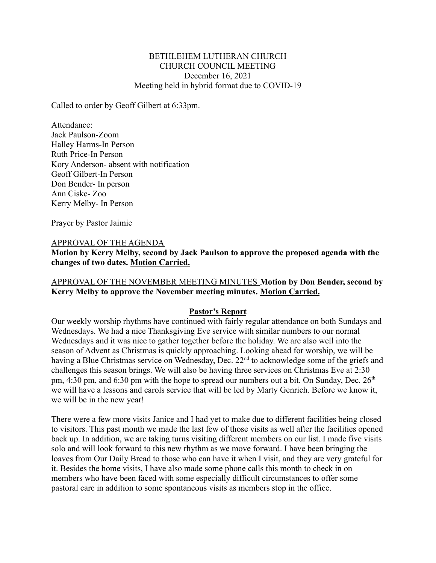#### BETHLEHEM LUTHERAN CHURCH CHURCH COUNCIL MEETING December 16, 2021 Meeting held in hybrid format due to COVID-19

Called to order by Geoff Gilbert at 6:33pm.

Attendance: Jack Paulson-Zoom Halley Harms-In Person Ruth Price-In Person Kory Anderson- absent with notification Geoff Gilbert-In Person Don Bender- In person Ann Ciske- Zoo Kerry Melby- In Person

Prayer by Pastor Jaimie

#### APPROVAL OF THE AGENDA

**Motion by Kerry Melby, second by Jack Paulson to approve the proposed agenda with the changes of two dates. Motion Carried.**

#### APPROVAL OF THE NOVEMBER MEETING MINUTES **Motion by Don Bender, second by Kerry Melby to approve the November meeting minutes. Motion Carried.**

#### **Pastor's Report**

Our weekly worship rhythms have continued with fairly regular attendance on both Sundays and Wednesdays. We had a nice Thanksgiving Eve service with similar numbers to our normal Wednesdays and it was nice to gather together before the holiday. We are also well into the season of Advent as Christmas is quickly approaching. Looking ahead for worship, we will be having a Blue Christmas service on Wednesday, Dec. 22<sup>nd</sup> to acknowledge some of the griefs and challenges this season brings. We will also be having three services on Christmas Eve at 2:30 pm, 4:30 pm, and 6:30 pm with the hope to spread our numbers out a bit. On Sunday, Dec.  $26<sup>th</sup>$ we will have a lessons and carols service that will be led by Marty Genrich. Before we know it, we will be in the new year!

There were a few more visits Janice and I had yet to make due to different facilities being closed to visitors. This past month we made the last few of those visits as well after the facilities opened back up. In addition, we are taking turns visiting different members on our list. I made five visits solo and will look forward to this new rhythm as we move forward. I have been bringing the loaves from Our Daily Bread to those who can have it when I visit, and they are very grateful for it. Besides the home visits, I have also made some phone calls this month to check in on members who have been faced with some especially difficult circumstances to offer some pastoral care in addition to some spontaneous visits as members stop in the office.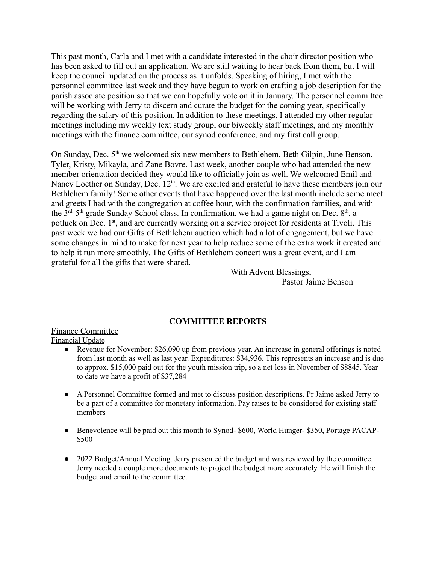This past month, Carla and I met with a candidate interested in the choir director position who has been asked to fill out an application. We are still waiting to hear back from them, but I will keep the council updated on the process as it unfolds. Speaking of hiring, I met with the personnel committee last week and they have begun to work on crafting a job description for the parish associate position so that we can hopefully vote on it in January. The personnel committee will be working with Jerry to discern and curate the budget for the coming year, specifically regarding the salary of this position. In addition to these meetings, I attended my other regular meetings including my weekly text study group, our biweekly staff meetings, and my monthly meetings with the finance committee, our synod conference, and my first call group.

On Sunday, Dec.  $5<sup>th</sup>$  we welcomed six new members to Bethlehem, Beth Gilpin, June Benson, Tyler, Kristy, Mikayla, and Zane Bovre. Last week, another couple who had attended the new member orientation decided they would like to officially join as well. We welcomed Emil and Nancy Loether on Sunday, Dec. 12<sup>th</sup>. We are excited and grateful to have these members join our Bethlehem family! Some other events that have happened over the last month include some meet and greets I had with the congregation at coffee hour, with the confirmation families, and with the  $3<sup>rd</sup> - 5<sup>th</sup>$  grade Sunday School class. In confirmation, we had a game night on Dec.  $8<sup>th</sup>$ , a potluck on Dec. 1<sup>st</sup>, and are currently working on a service project for residents at Tivoli. This past week we had our Gifts of Bethlehem auction which had a lot of engagement, but we have some changes in mind to make for next year to help reduce some of the extra work it created and to help it run more smoothly. The Gifts of Bethlehem concert was a great event, and I am grateful for all the gifts that were shared.

With Advent Blessings, Pastor Jaime Benson

## **COMMITTEE REPORTS**

## Finance Committee

Financial Update

- Revenue for November: \$26,090 up from previous year. An increase in general offerings is noted from last month as well as last year. Expenditures: \$34,936. This represents an increase and is due to approx. \$15,000 paid out for the youth mission trip, so a net loss in November of \$8845. Year to date we have a profit of \$37,284
- A Personnel Committee formed and met to discuss position descriptions. Pr Jaime asked Jerry to be a part of a committee for monetary information. Pay raises to be considered for existing staff members
- Benevolence will be paid out this month to Synod- \$600, World Hunger- \$350, Portage PACAP- \$500
- **●** 2022 Budget/Annual Meeting. Jerry presented the budget and was reviewed by the committee. Jerry needed a couple more documents to project the budget more accurately. He will finish the budget and email to the committee.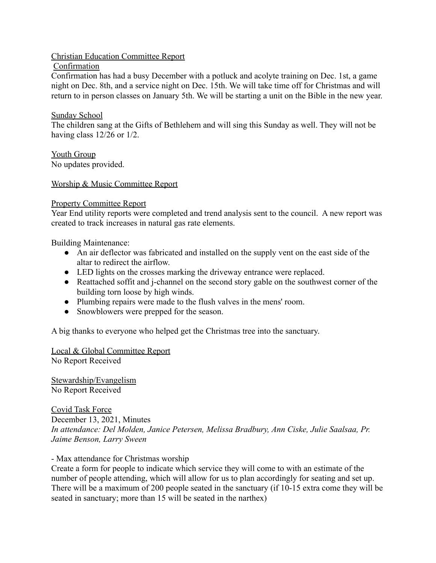# Christian Education Committee Report

Confirmation

Confirmation has had a busy December with a potluck and acolyte training on Dec. 1st, a game night on Dec. 8th, and a service night on Dec. 15th. We will take time off for Christmas and will return to in person classes on January 5th. We will be starting a unit on the Bible in the new year.

## Sunday School

The children sang at the Gifts of Bethlehem and will sing this Sunday as well. They will not be having class 12/26 or 1/2.

Youth Group No updates provided.

## Worship & Music Committee Report

## Property Committee Report

Year End utility reports were completed and trend analysis sent to the council. A new report was created to track increases in natural gas rate elements.

Building Maintenance:

- An air deflector was fabricated and installed on the supply vent on the east side of the altar to redirect the airflow.
- LED lights on the crosses marking the driveway entrance were replaced.
- Reattached soffit and j-channel on the second story gable on the southwest corner of the building torn loose by high winds.
- Plumbing repairs were made to the flush valves in the mens' room.
- Snowblowers were prepped for the season.

A big thanks to everyone who helped get the Christmas tree into the sanctuary.

Local & Global Committee Report No Report Received

Stewardship/Evangelism No Report Received

Covid Task Force December 13, 2021, Minutes *In attendance: Del Molden, Janice Petersen, Melissa Bradbury, Ann Ciske, Julie Saalsaa, Pr. Jaime Benson, Larry Sween*

## - Max attendance for Christmas worship

Create a form for people to indicate which service they will come to with an estimate of the number of people attending, which will allow for us to plan accordingly for seating and set up. There will be a maximum of 200 people seated in the sanctuary (if 10-15 extra come they will be seated in sanctuary; more than 15 will be seated in the narthex)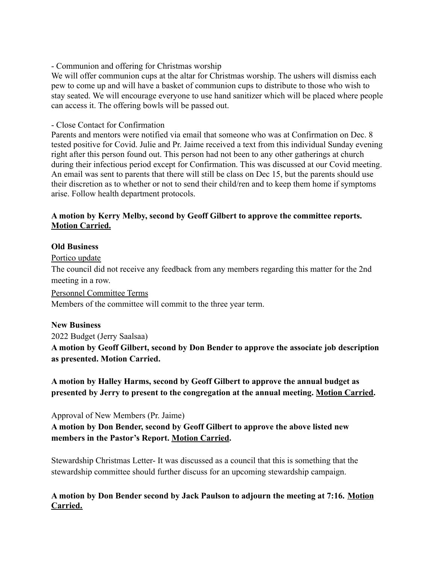#### - Communion and offering for Christmas worship

We will offer communion cups at the altar for Christmas worship. The ushers will dismiss each pew to come up and will have a basket of communion cups to distribute to those who wish to stay seated. We will encourage everyone to use hand sanitizer which will be placed where people can access it. The offering bowls will be passed out.

#### - Close Contact for Confirmation

Parents and mentors were notified via email that someone who was at Confirmation on Dec. 8 tested positive for Covid. Julie and Pr. Jaime received a text from this individual Sunday evening right after this person found out. This person had not been to any other gatherings at church during their infectious period except for Confirmation. This was discussed at our Covid meeting. An email was sent to parents that there will still be class on Dec 15, but the parents should use their discretion as to whether or not to send their child/ren and to keep them home if symptoms arise. Follow health department protocols.

## **A motion by Kerry Melby, second by Geoff Gilbert to approve the committee reports. Motion Carried.**

#### **Old Business**

Portico update

The council did not receive any feedback from any members regarding this matter for the 2nd meeting in a row.

Personnel Committee Terms

Members of the committee will commit to the three year term.

#### **New Business**

2022 Budget (Jerry Saalsaa)

**A motion by Geoff Gilbert, second by Don Bender to approve the associate job description as presented. Motion Carried.**

**A motion by Halley Harms, second by Geoff Gilbert to approve the annual budget as presented by Jerry to present to the congregation at the annual meeting. Motion Carried.**

Approval of New Members (Pr. Jaime)

**A motion by Don Bender, second by Geoff Gilbert to approve the above listed new members in the Pastor's Report. Motion Carried.**

Stewardship Christmas Letter- It was discussed as a council that this is something that the stewardship committee should further discuss for an upcoming stewardship campaign.

**A motion by Don Bender second by Jack Paulson to adjourn the meeting at 7:16. Motion Carried.**